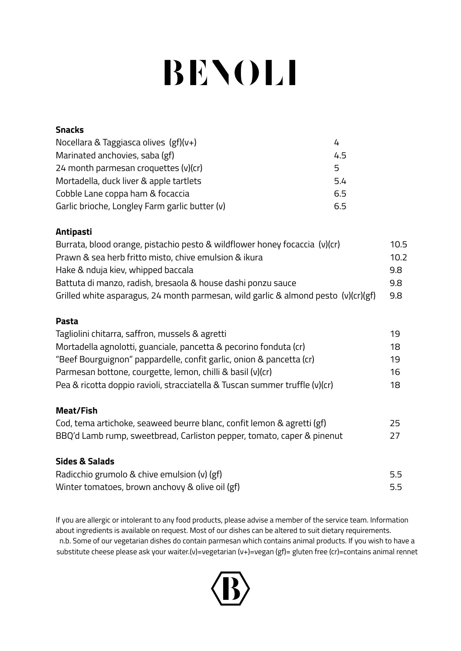# **BENOLI**

| <b>Snacks</b>                                  |     |
|------------------------------------------------|-----|
| Nocellara & Taggiasca olives (gf)(v+)          |     |
| Marinated anchovies, saba (gf)                 | 4.5 |
| 24 month parmesan croquettes $(v)(cr)$         | 5.  |
| Mortadella, duck liver & apple tartlets        | 5.4 |
| Cobble Lane coppa ham & focaccia               | 6.5 |
| Garlic brioche, Longley Farm garlic butter (v) | 6.5 |

## **Antipasti**

| Burrata, blood orange, pistachio pesto & wildflower honey focaccia (v)(cr)         | 10.5 |
|------------------------------------------------------------------------------------|------|
| Prawn & sea herb fritto misto, chive emulsion & ikura                              | 10.2 |
| Hake & nduja kiev, whipped baccala                                                 | 9.8  |
| Battuta di manzo, radish, bresaola & house dashi ponzu sauce                       | 9.8  |
| Grilled white asparagus, 24 month parmesan, wild garlic & almond pesto (v)(cr)(gf) | 9.8  |

## **Pasta**

| Tagliolini chitarra, saffron, mussels & agretti                             | 19 |
|-----------------------------------------------------------------------------|----|
| Mortadella agnolotti, guanciale, pancetta & pecorino fonduta (cr)           | 18 |
| "Beef Bourguignon" pappardelle, confit garlic, onion & pancetta (cr)        | 19 |
| Parmesan bottone, courgette, lemon, chilli & basil (v)(cr)                  | 16 |
| Pea & ricotta doppio ravioli, stracciatella & Tuscan summer truffle (v)(cr) | 18 |

#### **Meat/Fish**

| Cod, tema artichoke, seaweed beurre blanc, confit lemon & agretti (gf) | 25 |
|------------------------------------------------------------------------|----|
| BBQ'd Lamb rump, sweetbread, Carliston pepper, tomato, caper & pinenut | 27 |

## **Sides & Salads**

| Radicchio grumolo & chive emulsion $(v)$ (gf)   | 5.5 |
|-------------------------------------------------|-----|
| Winter tomatoes, brown anchovy & olive oil (gf) | 5.5 |

If you are allergic or intolerant to any food products, please advise a member of the service team. Information about ingredients is available on request. Most of our dishes can be altered to suit dietary requirements. n.b. Some of our vegetarian dishes do contain parmesan which contains animal products. If you wish to have a substitute cheese please ask your waiter.(v)=vegetarian (v+)=vegan (gf)= gluten free (cr)=contains animal rennet